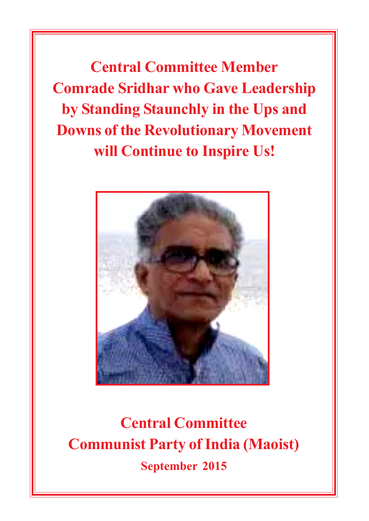**Central Committee Member Comrade Sridhar who Gave Leadership by Standing Staunchly in the Ups and Downs of the Revolutionary Movement will Continue to Inspire Us!**



**Central Committee Communist Party of India (Maoist) September 2015**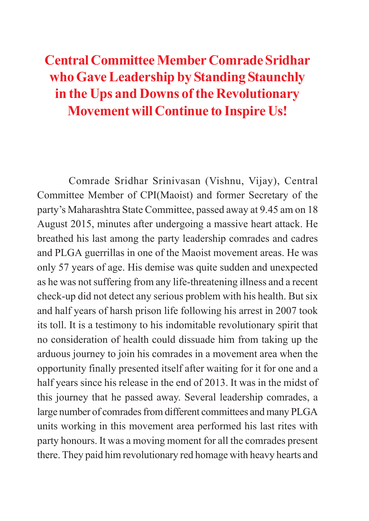# **Central Committee Member Comrade Sridhar who Gave Leadership by Standing Staunchly in the Ups and Downs of the Revolutionary Movement will Continue to Inspire Us!**

Comrade Sridhar Srinivasan (Vishnu, Vijay), Central Committee Member of CPI(Maoist) and former Secretary of the party's Maharashtra State Committee, passed away at 9.45 am on 18 August 2015, minutes after undergoing a massive heart attack. He breathed his last among the party leadership comrades and cadres and PLGA guerrillas in one of the Maoist movement areas. He was only 57 years of age. His demise was quite sudden and unexpected as he was not suffering from any life-threatening illness and a recent check-up did not detect any serious problem with his health. But six and half years of harsh prison life following his arrest in 2007 took its toll. It is a testimony to his indomitable revolutionary spirit that no consideration of health could dissuade him from taking up the arduous journey to join his comrades in a movement area when the opportunity finally presented itself after waiting for it for one and a half years since his release in the end of 2013. It was in the midst of this journey that he passed away. Several leadership comrades, a large number of comrades from different committees and many PLGA units working in this movement area performed his last rites with party honours. It was a moving moment for all the comrades present there. They paid him revolutionary red homage with heavy hearts and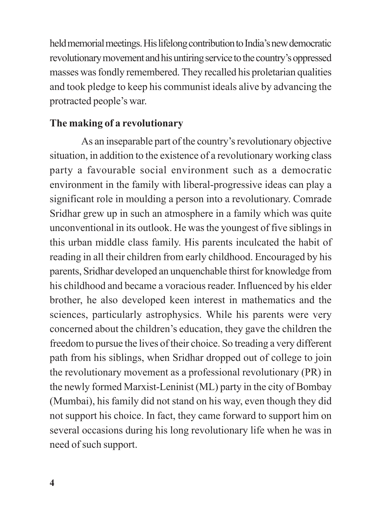held memorial meetings. His lifelong contribution to India's new democratic revolutionary movement and his untiring service to the country's oppressed masses was fondly remembered. They recalled his proletarian qualities and took pledge to keep his communist ideals alive by advancing the protracted people's war.

## **The making of a revolutionary**

As an inseparable part of the country's revolutionary objective situation, in addition to the existence of a revolutionary working class party a favourable social environment such as a democratic environment in the family with liberal-progressive ideas can play a significant role in moulding a person into a revolutionary. Comrade Sridhar grew up in such an atmosphere in a family which was quite unconventional in its outlook. He was the youngest of five siblings in this urban middle class family. His parents inculcated the habit of reading in all their children from early childhood. Encouraged by his parents, Sridhar developed an unquenchable thirst for knowledge from his childhood and became a voracious reader. Influenced by his elder brother, he also developed keen interest in mathematics and the sciences, particularly astrophysics. While his parents were very concerned about the children's education, they gave the children the freedom to pursue the lives of their choice. So treading a very different path from his siblings, when Sridhar dropped out of college to join the revolutionary movement as a professional revolutionary (PR) in the newly formed Marxist-Leninist (ML) party in the city of Bombay (Mumbai), his family did not stand on his way, even though they did not support his choice. In fact, they came forward to support him on several occasions during his long revolutionary life when he was in need of such support.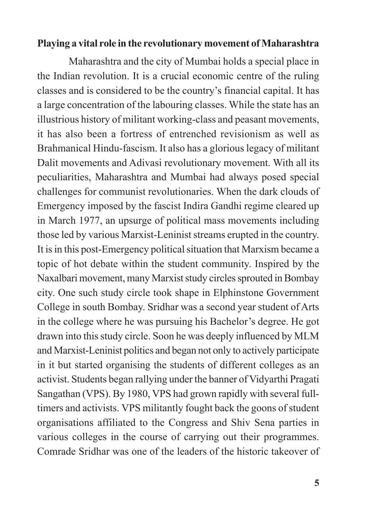#### **Playing a vital role in the revolutionary movement of Maharashtra**

Maharashtra and the city of Mumbai holds a special place in the Indian revolution. It is a crucial economic centre of the ruling classes and is considered to be the country's financial capital. It has a large concentration of the labouring classes. While the state has an illustrious history of militant working-class and peasant movements, it has also been a fortress of entrenched revisionism as well as Brahmanical Hindu-fascism. It also has a glorious legacy of militant Dalit movements and Adivasi revolutionary movement. With all its peculiarities, Maharashtra and Mumbai had always posed special challenges for communist revolutionaries. When the dark clouds of Emergency imposed by the fascist Indira Gandhi regime cleared up in March 1977, an upsurge of political mass movements including those led by various Marxist-Leninist streams erupted in the country. It is in this post-Emergency political situation that Marxism became a topic of hot debate within the student community. Inspired by the Naxalbari movement, many Marxist study circles sprouted in Bombay city. One such study circle took shape in Elphinstone Government College in south Bombay. Sridhar was a second year student of Arts in the college where he was pursuing his Bachelor's degree. He got drawn into this study circle. Soon he was deeply influenced by MLM and Marxist-Leninist politics and began not only to actively participate in it but started organising the students of different colleges as an activist. Students began rallying under the banner of Vidyarthi Pragati Sangathan (VPS). By 1980, VPS had grown rapidly with several fulltimers and activists. VPS militantly fought back the goons of student organisations affiliated to the Congress and Shiv Sena parties in various colleges in the course of carrying out their programmes. Comrade Sridhar was one of the leaders of the historic takeover of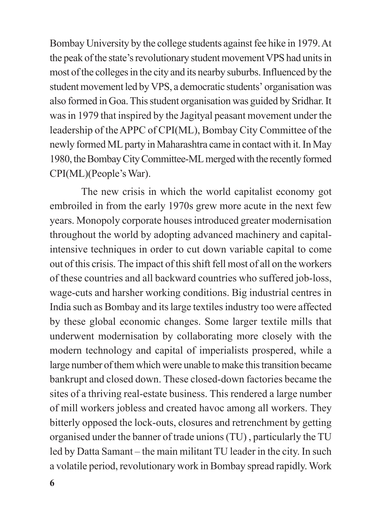Bombay University by the college students against fee hike in 1979. At the peak of the state's revolutionary student movement VPS had units in most of the colleges in the city and its nearby suburbs. Influenced by the student movement led by VPS, a democratic students' organisation was also formed in Goa. This student organisation was guided by Sridhar. It was in 1979 that inspired by the Jagityal peasant movement under the leadership of the APPC of CPI(ML), Bombay City Committee of the newly formed ML party in Maharashtra came in contact with it. In May 1980, the Bombay City Committee-ML merged with the recently formed CPI(ML)(People's War).

The new crisis in which the world capitalist economy got embroiled in from the early 1970s grew more acute in the next few years. Monopoly corporate houses introduced greater modernisation throughout the world by adopting advanced machinery and capitalintensive techniques in order to cut down variable capital to come out of this crisis. The impact of this shift fell most of all on the workers of these countries and all backward countries who suffered job-loss, wage-cuts and harsher working conditions. Big industrial centres in India such as Bombay and its large textiles industry too were affected by these global economic changes. Some larger textile mills that underwent modernisation by collaborating more closely with the modern technology and capital of imperialists prospered, while a large number of them which were unable to make this transition became bankrupt and closed down. These closed-down factories became the sites of a thriving real-estate business. This rendered a large number of mill workers jobless and created havoc among all workers. They bitterly opposed the lock-outs, closures and retrenchment by getting organised under the banner of trade unions (TU) , particularly the TU led by Datta Samant – the main militant TU leader in the city. In such a volatile period, revolutionary work in Bombay spread rapidly. Work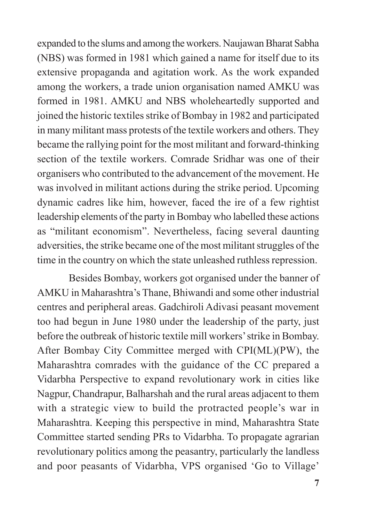expanded to the slums and among the workers. Naujawan Bharat Sabha (NBS) was formed in 1981 which gained a name for itself due to its extensive propaganda and agitation work. As the work expanded among the workers, a trade union organisation named AMKU was formed in 1981. AMKU and NBS wholeheartedly supported and joined the historic textiles strike of Bombay in 1982 and participated in many militant mass protests of the textile workers and others. They became the rallying point for the most militant and forward-thinking section of the textile workers. Comrade Sridhar was one of their organisers who contributed to the advancement of the movement. He was involved in militant actions during the strike period. Upcoming dynamic cadres like him, however, faced the ire of a few rightist leadership elements of the party in Bombay who labelled these actions as "militant economism". Nevertheless, facing several daunting adversities, the strike became one of the most militant struggles of the time in the country on which the state unleashed ruthless repression.

Besides Bombay, workers got organised under the banner of AMKU in Maharashtra's Thane, Bhiwandi and some other industrial centres and peripheral areas. Gadchiroli Adivasi peasant movement too had begun in June 1980 under the leadership of the party, just before the outbreak of historic textile mill workers' strike in Bombay. After Bombay City Committee merged with CPI(ML)(PW), the Maharashtra comrades with the guidance of the CC prepared a Vidarbha Perspective to expand revolutionary work in cities like Nagpur, Chandrapur, Balharshah and the rural areas adjacent to them with a strategic view to build the protracted people's war in Maharashtra. Keeping this perspective in mind, Maharashtra State Committee started sending PRs to Vidarbha. To propagate agrarian revolutionary politics among the peasantry, particularly the landless and poor peasants of Vidarbha, VPS organised 'Go to Village'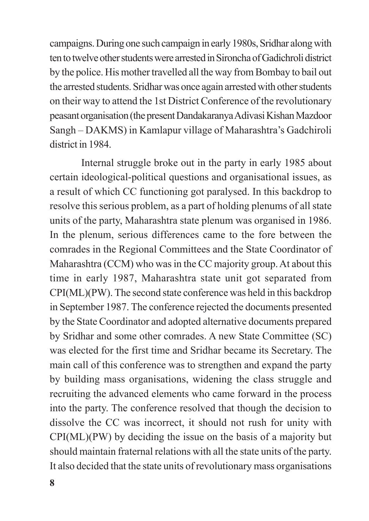campaigns. During one such campaign in early 1980s, Sridhar along with ten to twelve other students were arrested in Sironcha of Gadichroli district by the police. His mother travelled all the way from Bombay to bail out the arrested students. Sridhar was once again arrested with other students on their way to attend the 1st District Conference of the revolutionary peasant organisation (the present Dandakaranya Adivasi Kishan Mazdoor Sangh – DAKMS) in Kamlapur village of Maharashtra's Gadchiroli district in 1984.

Internal struggle broke out in the party in early 1985 about certain ideological-political questions and organisational issues, as a result of which CC functioning got paralysed. In this backdrop to resolve this serious problem, as a part of holding plenums of all state units of the party, Maharashtra state plenum was organised in 1986. In the plenum, serious differences came to the fore between the comrades in the Regional Committees and the State Coordinator of Maharashtra (CCM) who was in the CC majority group. At about this time in early 1987, Maharashtra state unit got separated from CPI(ML)(PW). The second state conference was held in this backdrop in September 1987. The conference rejected the documents presented by the State Coordinator and adopted alternative documents prepared by Sridhar and some other comrades. A new State Committee (SC) was elected for the first time and Sridhar became its Secretary. The main call of this conference was to strengthen and expand the party by building mass organisations, widening the class struggle and recruiting the advanced elements who came forward in the process into the party. The conference resolved that though the decision to dissolve the CC was incorrect, it should not rush for unity with CPI(ML)(PW) by deciding the issue on the basis of a majority but should maintain fraternal relations with all the state units of the party. It also decided that the state units of revolutionary mass organisations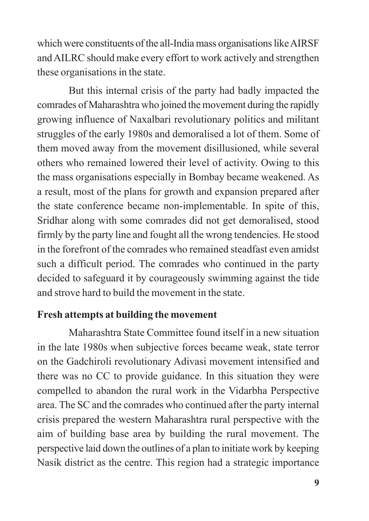which were constituents of the all-India mass organisations like AIRSF and AILRC should make every effort to work actively and strengthen these organisations in the state.

But this internal crisis of the party had badly impacted the comrades of Maharashtra who joined the movement during the rapidly growing influence of Naxalbari revolutionary politics and militant struggles of the early 1980s and demoralised a lot of them. Some of them moved away from the movement disillusioned, while several others who remained lowered their level of activity. Owing to this the mass organisations especially in Bombay became weakened. As a result, most of the plans for growth and expansion prepared after the state conference became non-implementable. In spite of this, Sridhar along with some comrades did not get demoralised, stood firmly by the party line and fought all the wrong tendencies. He stood in the forefront of the comrades who remained steadfast even amidst such a difficult period. The comrades who continued in the party decided to safeguard it by courageously swimming against the tide and strove hard to build the movement in the state.

### **Fresh attempts at building the movement**

Maharashtra State Committee found itself in a new situation in the late 1980s when subjective forces became weak, state terror on the Gadchiroli revolutionary Adivasi movement intensified and there was no CC to provide guidance. In this situation they were compelled to abandon the rural work in the Vidarbha Perspective area. The SC and the comrades who continued after the party internal crisis prepared the western Maharashtra rural perspective with the aim of building base area by building the rural movement. The perspective laid down the outlines of a plan to initiate work by keeping Nasik district as the centre. This region had a strategic importance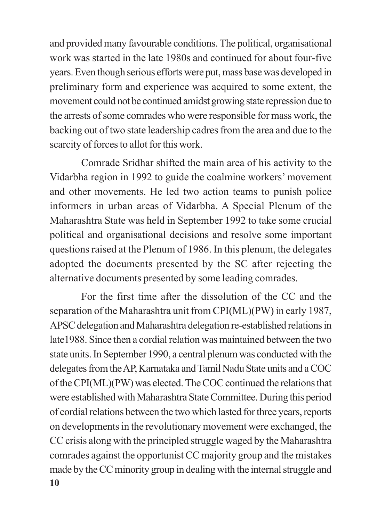and provided many favourable conditions. The political, organisational work was started in the late 1980s and continued for about four-five years. Even though serious efforts were put, mass base was developed in preliminary form and experience was acquired to some extent, the movement could not be continued amidst growing state repression due to the arrests of some comrades who were responsible for mass work, the backing out of two state leadership cadres from the area and due to the scarcity of forces to allot for this work.

Comrade Sridhar shifted the main area of his activity to the Vidarbha region in 1992 to guide the coalmine workers' movement and other movements. He led two action teams to punish police informers in urban areas of Vidarbha. A Special Plenum of the Maharashtra State was held in September 1992 to take some crucial political and organisational decisions and resolve some important questions raised at the Plenum of 1986. In this plenum, the delegates adopted the documents presented by the SC after rejecting the alternative documents presented by some leading comrades.

**10** For the first time after the dissolution of the CC and the separation of the Maharashtra unit from CPI(ML)(PW) in early 1987, APSC delegation and Maharashtra delegation re-established relations in late1988. Since then a cordial relation was maintained between the two state units. In September 1990, a central plenum was conducted with the delegates from the AP, Karnataka and Tamil Nadu State units and a COC of the CPI(ML)(PW) was elected. The COC continued the relations that were established with Maharashtra State Committee. During this period of cordial relations between the two which lasted for three years, reports on developments in the revolutionary movement were exchanged, the CC crisis along with the principled struggle waged by the Maharashtra comrades against the opportunist CC majority group and the mistakes made by the CC minority group in dealing with the internal struggle and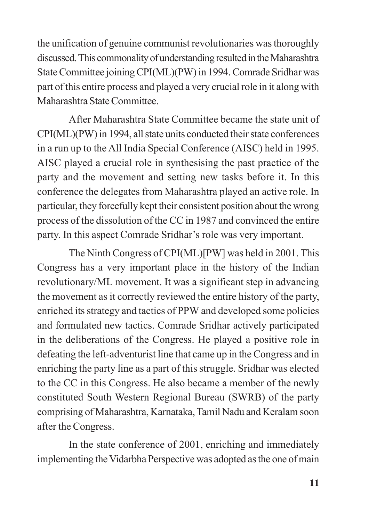the unification of genuine communist revolutionaries was thoroughly discussed. This commonality of understanding resulted in the Maharashtra State Committee joining CPI(ML)(PW) in 1994. Comrade Sridhar was part of this entire process and played a very crucial role in it along with Maharashtra State Committee.

After Maharashtra State Committee became the state unit of CPI(ML)(PW) in 1994, all state units conducted their state conferences in a run up to the All India Special Conference (AISC) held in 1995. AISC played a crucial role in synthesising the past practice of the party and the movement and setting new tasks before it. In this conference the delegates from Maharashtra played an active role. In particular, they forcefully kept their consistent position about the wrong process of the dissolution of the CC in 1987 and convinced the entire party. In this aspect Comrade Sridhar's role was very important.

The Ninth Congress of CPI(ML)[PW] was held in 2001. This Congress has a very important place in the history of the Indian revolutionary/ML movement. It was a significant step in advancing the movement as it correctly reviewed the entire history of the party, enriched its strategy and tactics of PPW and developed some policies and formulated new tactics. Comrade Sridhar actively participated in the deliberations of the Congress. He played a positive role in defeating the left-adventurist line that came up in the Congress and in enriching the party line as a part of this struggle. Sridhar was elected to the CC in this Congress. He also became a member of the newly constituted South Western Regional Bureau (SWRB) of the party comprising of Maharashtra, Karnataka, Tamil Nadu and Keralam soon after the Congress.

In the state conference of 2001, enriching and immediately implementing the Vidarbha Perspective was adopted as the one of main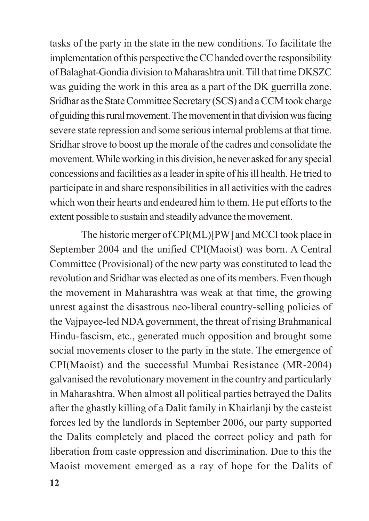tasks of the party in the state in the new conditions. To facilitate the implementation of this perspective the CC handed over the responsibility of Balaghat-Gondia division to Maharashtra unit. Till that time DKSZC was guiding the work in this area as a part of the DK guerrilla zone. Sridhar as the State Committee Secretary (SCS) and a CCM took charge of guiding this rural movement. The movement in that division was facing severe state repression and some serious internal problems at that time. Sridhar strove to boost up the morale of the cadres and consolidate the movement. While working in this division, he never asked for any special concessions and facilities as a leader in spite of his ill health. He tried to participate in and share responsibilities in all activities with the cadres which won their hearts and endeared him to them. He put efforts to the extent possible to sustain and steadily advance the movement.

The historic merger of CPI(ML)[PW] and MCCI took place in September 2004 and the unified CPI(Maoist) was born. A Central Committee (Provisional) of the new party was constituted to lead the revolution and Sridhar was elected as one of its members. Even though the movement in Maharashtra was weak at that time, the growing unrest against the disastrous neo-liberal country-selling policies of the Vajpayee-led NDA government, the threat of rising Brahmanical Hindu-fascism, etc., generated much opposition and brought some social movements closer to the party in the state. The emergence of CPI(Maoist) and the successful Mumbai Resistance (MR-2004) galvanised the revolutionary movement in the country and particularly in Maharashtra. When almost all political parties betrayed the Dalits after the ghastly killing of a Dalit family in Khairlanji by the casteist forces led by the landlords in September 2006, our party supported the Dalits completely and placed the correct policy and path for liberation from caste oppression and discrimination. Due to this the Maoist movement emerged as a ray of hope for the Dalits of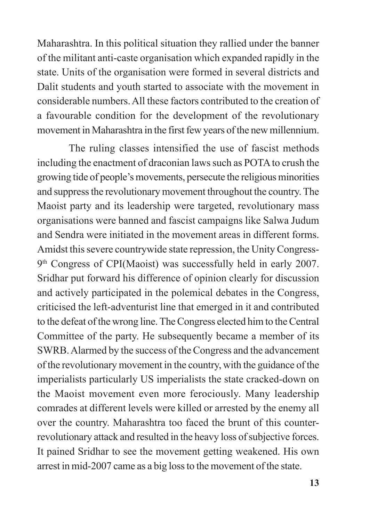Maharashtra. In this political situation they rallied under the banner of the militant anti-caste organisation which expanded rapidly in the state. Units of the organisation were formed in several districts and Dalit students and youth started to associate with the movement in considerable numbers. All these factors contributed to the creation of a favourable condition for the development of the revolutionary movement in Maharashtra in the first few years of the new millennium.

The ruling classes intensified the use of fascist methods including the enactment of draconian laws such as POTA to crush the growing tide of people's movements, persecute the religious minorities and suppress the revolutionary movement throughout the country. The Maoist party and its leadership were targeted, revolutionary mass organisations were banned and fascist campaigns like Salwa Judum and Sendra were initiated in the movement areas in different forms. Amidst this severe countrywide state repression, the Unity Congress-9th Congress of CPI(Maoist) was successfully held in early 2007. Sridhar put forward his difference of opinion clearly for discussion and actively participated in the polemical debates in the Congress, criticised the left-adventurist line that emerged in it and contributed to the defeat of the wrong line. The Congress elected him to the Central Committee of the party. He subsequently became a member of its SWRB. Alarmed by the success of the Congress and the advancement of the revolutionary movement in the country, with the guidance of the imperialists particularly US imperialists the state cracked-down on the Maoist movement even more ferociously. Many leadership comrades at different levels were killed or arrested by the enemy all over the country. Maharashtra too faced the brunt of this counterrevolutionary attack and resulted in the heavy loss of subjective forces. It pained Sridhar to see the movement getting weakened. His own arrest in mid-2007 came as a big loss to the movement of the state.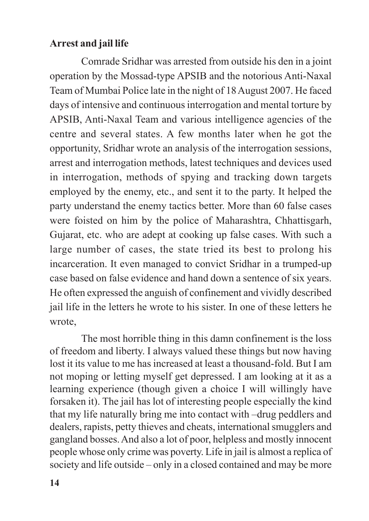### **Arrest and jail life**

Comrade Sridhar was arrested from outside his den in a joint operation by the Mossad-type APSIB and the notorious Anti-Naxal Team of Mumbai Police late in the night of 18 August 2007. He faced days of intensive and continuous interrogation and mental torture by APSIB, Anti-Naxal Team and various intelligence agencies of the centre and several states. A few months later when he got the opportunity, Sridhar wrote an analysis of the interrogation sessions, arrest and interrogation methods, latest techniques and devices used in interrogation, methods of spying and tracking down targets employed by the enemy, etc., and sent it to the party. It helped the party understand the enemy tactics better. More than 60 false cases were foisted on him by the police of Maharashtra, Chhattisgarh, Gujarat, etc. who are adept at cooking up false cases. With such a large number of cases, the state tried its best to prolong his incarceration. It even managed to convict Sridhar in a trumped-up case based on false evidence and hand down a sentence of six years. He often expressed the anguish of confinement and vividly described jail life in the letters he wrote to his sister. In one of these letters he wrote,

The most horrible thing in this damn confinement is the loss of freedom and liberty. I always valued these things but now having lost it its value to me has increased at least a thousand-fold. But I am not moping or letting myself get depressed. I am looking at it as a learning experience (though given a choice I will willingly have forsaken it). The jail has lot of interesting people especially the kind that my life naturally bring me into contact with –drug peddlers and dealers, rapists, petty thieves and cheats, international smugglers and gangland bosses. And also a lot of poor, helpless and mostly innocent people whose only crime was poverty. Life in jail is almost a replica of society and life outside – only in a closed contained and may be more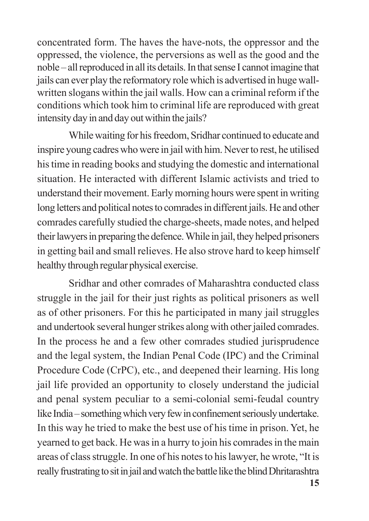concentrated form. The haves the have-nots, the oppressor and the oppressed, the violence, the perversions as well as the good and the noble – all reproduced in all its details. In that sense I cannot imagine that jails can ever play the reformatory role which is advertised in huge wallwritten slogans within the jail walls. How can a criminal reform if the conditions which took him to criminal life are reproduced with great intensity day in and day out within the jails?

While waiting for his freedom, Sridhar continued to educate and inspire young cadres who were in jail with him. Never to rest, he utilised his time in reading books and studying the domestic and international situation. He interacted with different Islamic activists and tried to understand their movement. Early morning hours were spent in writing long letters and political notes to comrades in different jails. He and other comrades carefully studied the charge-sheets, made notes, and helped their lawyers in preparing the defence. While in jail, they helped prisoners in getting bail and small relieves. He also strove hard to keep himself healthy through regular physical exercise.

Sridhar and other comrades of Maharashtra conducted class struggle in the jail for their just rights as political prisoners as well as of other prisoners. For this he participated in many jail struggles and undertook several hunger strikes along with other jailed comrades. In the process he and a few other comrades studied jurisprudence and the legal system, the Indian Penal Code (IPC) and the Criminal Procedure Code (CrPC), etc., and deepened their learning. His long jail life provided an opportunity to closely understand the judicial and penal system peculiar to a semi-colonial semi-feudal country like India – something which very few in confinement seriously undertake. In this way he tried to make the best use of his time in prison. Yet, he yearned to get back. He was in a hurry to join his comrades in the main areas of class struggle. In one of his notes to his lawyer, he wrote, "It is really frustrating to sit in jail and watch the battle like the blind Dhritarashtra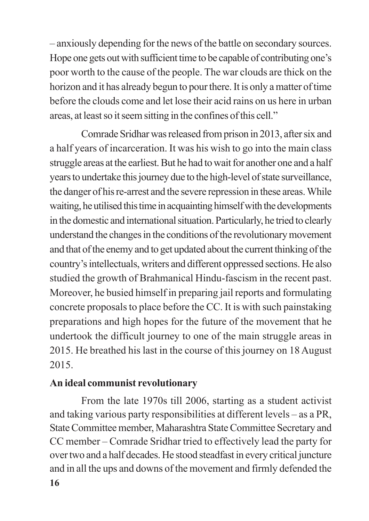– anxiously depending for the news of the battle on secondary sources. Hope one gets out with sufficient time to be capable of contributing one's poor worth to the cause of the people. The war clouds are thick on the horizon and it has already begun to pour there. It is only a matter of time before the clouds come and let lose their acid rains on us here in urban areas, at least so it seem sitting in the confines of this cell."

Comrade Sridhar was released from prison in 2013, after six and a half years of incarceration. It was his wish to go into the main class struggle areas at the earliest. But he had to wait for another one and a half years to undertake this journey due to the high-level of state surveillance, the danger of his re-arrest and the severe repression in these areas. While waiting, he utilised this time in acquainting himself with the developments in the domestic and international situation. Particularly, he tried to clearly understand the changes in the conditions of the revolutionary movement and that of the enemy and to get updated about the current thinking of the country's intellectuals, writers and different oppressed sections. He also studied the growth of Brahmanical Hindu-fascism in the recent past. Moreover, he busied himself in preparing jail reports and formulating concrete proposals to place before the CC. It is with such painstaking preparations and high hopes for the future of the movement that he undertook the difficult journey to one of the main struggle areas in 2015. He breathed his last in the course of this journey on 18 August 2015.

### **An ideal communist revolutionary**

**16** From the late 1970s till 2006, starting as a student activist and taking various party responsibilities at different levels – as a PR, State Committee member, Maharashtra State Committee Secretary and CC member – Comrade Sridhar tried to effectively lead the party for over two and a half decades. He stood steadfast in every critical juncture and in all the ups and downs of the movement and firmly defended the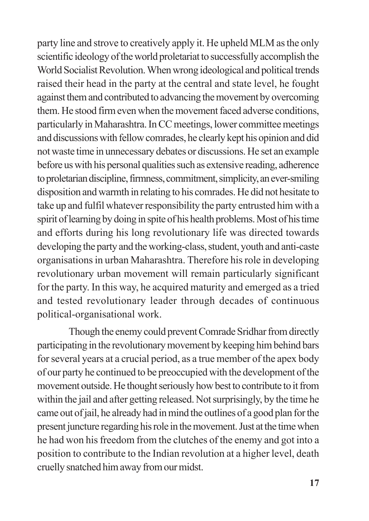party line and strove to creatively apply it. He upheld MLM as the only scientific ideology of the world proletariat to successfully accomplish the World Socialist Revolution. When wrong ideological and political trends raised their head in the party at the central and state level, he fought against them and contributed to advancing the movement by overcoming them. He stood firm even when the movement faced adverse conditions, particularly in Maharashtra. In CC meetings, lower committee meetings and discussions with fellow comrades, he clearly kept his opinion and did not waste time in unnecessary debates or discussions. He set an example before us with his personal qualities such as extensive reading, adherence to proletarian discipline, firmness, commitment, simplicity, an ever-smiling disposition and warmth in relating to his comrades. He did not hesitate to take up and fulfil whatever responsibility the party entrusted him with a spirit of learning by doing in spite of his health problems. Most of his time and efforts during his long revolutionary life was directed towards developing the party and the working-class, student, youth and anti-caste organisations in urban Maharashtra. Therefore his role in developing revolutionary urban movement will remain particularly significant for the party. In this way, he acquired maturity and emerged as a tried and tested revolutionary leader through decades of continuous political-organisational work.

Though the enemy could prevent Comrade Sridhar from directly participating in the revolutionary movement by keeping him behind bars for several years at a crucial period, as a true member of the apex body of our party he continued to be preoccupied with the development of the movement outside. He thought seriously how best to contribute to it from within the jail and after getting released. Not surprisingly, by the time he came out of jail, he already had in mind the outlines of a good plan for the present juncture regarding his role in the movement. Just at the time when he had won his freedom from the clutches of the enemy and got into a position to contribute to the Indian revolution at a higher level, death cruelly snatched him away from our midst.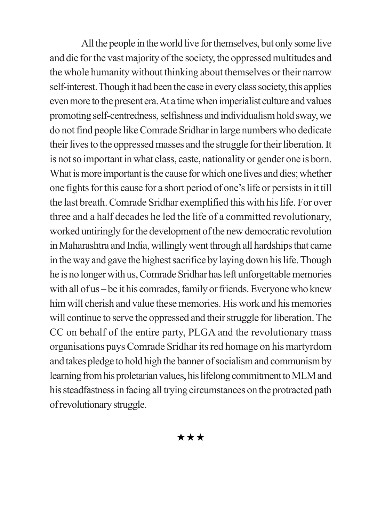All the people in the world live for themselves, but only some live and die for the vast majority of the society, the oppressed multitudes and the whole humanity without thinking about themselves or their narrow self-interest. Though it had been the case in every class society, this applies even more to the present era. At a time when imperialist culture and values promoting self-centredness, selfishness and individualism hold sway, we do not find people like Comrade Sridhar in large numbers who dedicate their lives to the oppressed masses and the struggle for their liberation. It is not so important in what class, caste, nationality or gender one is born. What is more important is the cause for which one lives and dies; whether one fights for this cause for a short period of one's life or persists in it till the last breath. Comrade Sridhar exemplified this with his life. For over three and a half decades he led the life of a committed revolutionary, worked untiringly for the development of the new democratic revolution in Maharashtra and India, willingly went through all hardships that came in the way and gave the highest sacrifice by laying down his life. Though he is no longer with us, Comrade Sridhar has left unforgettable memories with all of us – be it his comrades, family or friends. Everyone who knew him will cherish and value these memories. His work and his memories will continue to serve the oppressed and their struggle for liberation. The CC on behalf of the entire party, PLGA and the revolutionary mass organisations pays Comrade Sridhar its red homage on his martyrdom and takes pledge to hold high the banner of socialism and communism by learning from his proletarian values, his lifelong commitment to MLM and his steadfastness in facing all trying circumstances on the protracted path of revolutionary struggle.

 $\star\star\star$